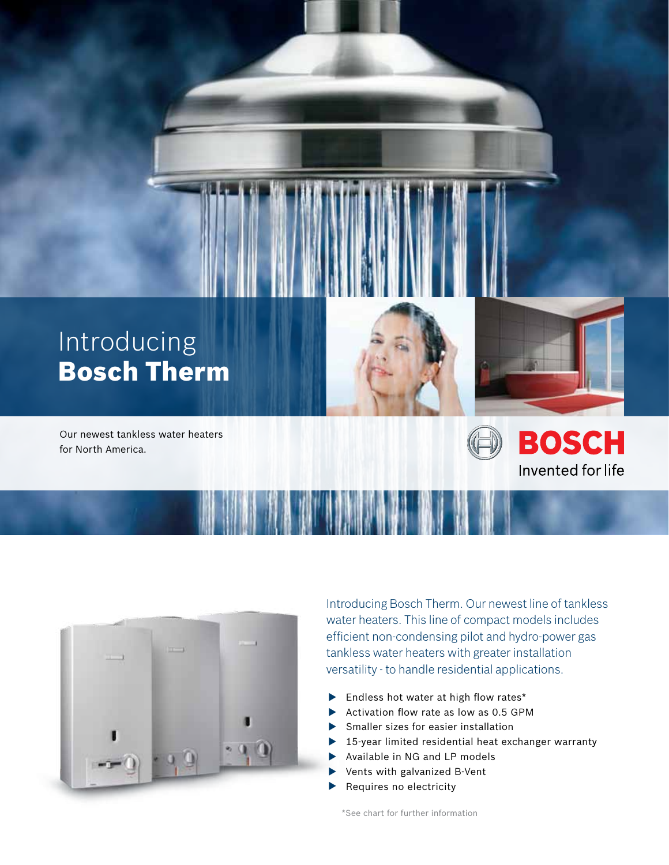

Our newest tankless water heaters for North America.





**BOSCH** 

Invented for life



Introducing Bosch Therm. Our newest line of tankless water heaters. This line of compact models includes efficient non-condensing pilot and hydro-power gas tankless water heaters with greater installation versatility - to handle residential applications.

- **Endless hot water at high flow rates\***
- Activation flow rate as low as  $0.5$  GPM
- Smaller sizes for easier installation
- ▶ 15-year limited residential heat exchanger warranty
- Available in NG and LP models
- Vents with galvanized B-Vent
- Requires no electricity

\*See chart for further information